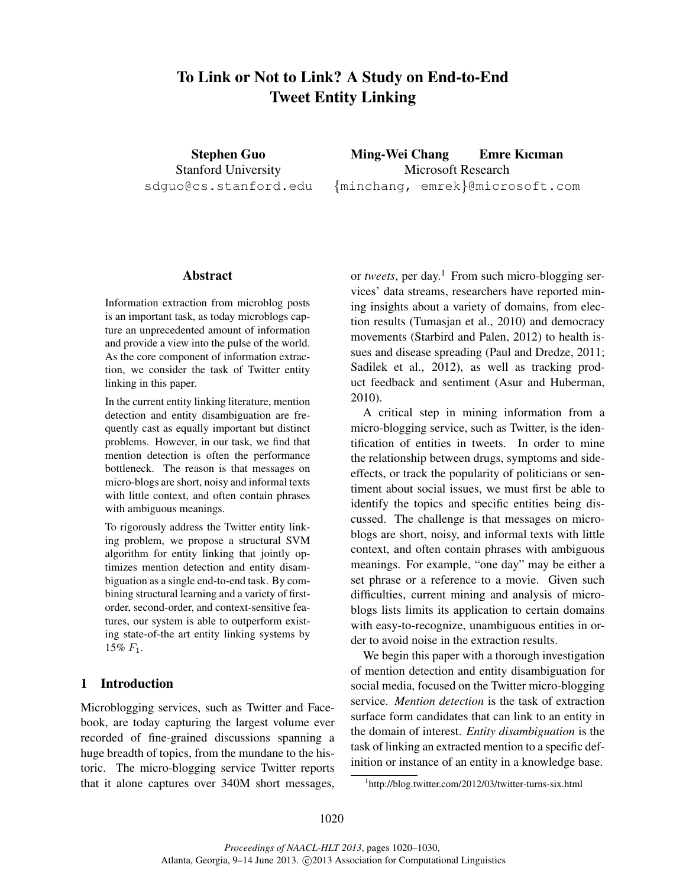# To Link or Not to Link? A Study on End-to-End Tweet Entity Linking

Stephen Guo Stanford University sdguo@cs.stanford.edu

Ming-Wei Chang Emre Kıcıman Microsoft Research {minchang, emrek}@microsoft.com

# Abstract

Information extraction from microblog posts is an important task, as today microblogs capture an unprecedented amount of information and provide a view into the pulse of the world. As the core component of information extraction, we consider the task of Twitter entity linking in this paper.

In the current entity linking literature, mention detection and entity disambiguation are frequently cast as equally important but distinct problems. However, in our task, we find that mention detection is often the performance bottleneck. The reason is that messages on micro-blogs are short, noisy and informal texts with little context, and often contain phrases with ambiguous meanings.

To rigorously address the Twitter entity linking problem, we propose a structural SVM algorithm for entity linking that jointly optimizes mention detection and entity disambiguation as a single end-to-end task. By combining structural learning and a variety of firstorder, second-order, and context-sensitive features, our system is able to outperform existing state-of-the art entity linking systems by 15%  $F_1$ .

# 1 Introduction

Microblogging services, such as Twitter and Facebook, are today capturing the largest volume ever recorded of fine-grained discussions spanning a huge breadth of topics, from the mundane to the historic. The micro-blogging service Twitter reports that it alone captures over 340M short messages, or *tweets*, per day.<sup>1</sup> From such micro-blogging services' data streams, researchers have reported mining insights about a variety of domains, from election results (Tumasjan et al., 2010) and democracy movements (Starbird and Palen, 2012) to health issues and disease spreading (Paul and Dredze, 2011; Sadilek et al., 2012), as well as tracking product feedback and sentiment (Asur and Huberman, 2010).

A critical step in mining information from a micro-blogging service, such as Twitter, is the identification of entities in tweets. In order to mine the relationship between drugs, symptoms and sideeffects, or track the popularity of politicians or sentiment about social issues, we must first be able to identify the topics and specific entities being discussed. The challenge is that messages on microblogs are short, noisy, and informal texts with little context, and often contain phrases with ambiguous meanings. For example, "one day" may be either a set phrase or a reference to a movie. Given such difficulties, current mining and analysis of microblogs lists limits its application to certain domains with easy-to-recognize, unambiguous entities in order to avoid noise in the extraction results.

We begin this paper with a thorough investigation of mention detection and entity disambiguation for social media, focused on the Twitter micro-blogging service. *Mention detection* is the task of extraction surface form candidates that can link to an entity in the domain of interest. *Entity disambiguation* is the task of linking an extracted mention to a specific definition or instance of an entity in a knowledge base.

<sup>&</sup>lt;sup>1</sup>http://blog.twitter.com/2012/03/twitter-turns-six.html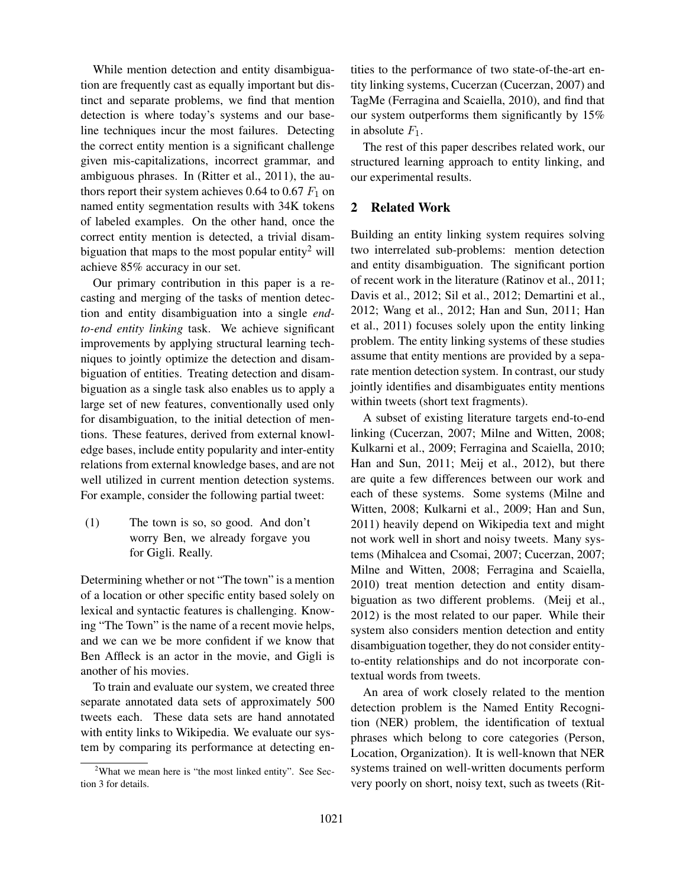While mention detection and entity disambiguation are frequently cast as equally important but distinct and separate problems, we find that mention detection is where today's systems and our baseline techniques incur the most failures. Detecting the correct entity mention is a significant challenge given mis-capitalizations, incorrect grammar, and ambiguous phrases. In (Ritter et al., 2011), the authors report their system achieves 0.64 to 0.67  $F_1$  on named entity segmentation results with 34K tokens of labeled examples. On the other hand, once the correct entity mention is detected, a trivial disambiguation that maps to the most popular entity<sup>2</sup> will achieve 85% accuracy in our set.

Our primary contribution in this paper is a recasting and merging of the tasks of mention detection and entity disambiguation into a single *endto-end entity linking* task. We achieve significant improvements by applying structural learning techniques to jointly optimize the detection and disambiguation of entities. Treating detection and disambiguation as a single task also enables us to apply a large set of new features, conventionally used only for disambiguation, to the initial detection of mentions. These features, derived from external knowledge bases, include entity popularity and inter-entity relations from external knowledge bases, and are not well utilized in current mention detection systems. For example, consider the following partial tweet:

(1) The town is so, so good. And don't worry Ben, we already forgave you for Gigli. Really.

Determining whether or not "The town" is a mention of a location or other specific entity based solely on lexical and syntactic features is challenging. Knowing "The Town" is the name of a recent movie helps, and we can we be more confident if we know that Ben Affleck is an actor in the movie, and Gigli is another of his movies.

To train and evaluate our system, we created three separate annotated data sets of approximately 500 tweets each. These data sets are hand annotated with entity links to Wikipedia. We evaluate our system by comparing its performance at detecting entities to the performance of two state-of-the-art entity linking systems, Cucerzan (Cucerzan, 2007) and TagMe (Ferragina and Scaiella, 2010), and find that our system outperforms them significantly by 15% in absolute  $F_1$ .

The rest of this paper describes related work, our structured learning approach to entity linking, and our experimental results.

# 2 Related Work

Building an entity linking system requires solving two interrelated sub-problems: mention detection and entity disambiguation. The significant portion of recent work in the literature (Ratinov et al., 2011; Davis et al., 2012; Sil et al., 2012; Demartini et al., 2012; Wang et al., 2012; Han and Sun, 2011; Han et al., 2011) focuses solely upon the entity linking problem. The entity linking systems of these studies assume that entity mentions are provided by a separate mention detection system. In contrast, our study jointly identifies and disambiguates entity mentions within tweets (short text fragments).

A subset of existing literature targets end-to-end linking (Cucerzan, 2007; Milne and Witten, 2008; Kulkarni et al., 2009; Ferragina and Scaiella, 2010; Han and Sun, 2011; Meij et al., 2012), but there are quite a few differences between our work and each of these systems. Some systems (Milne and Witten, 2008; Kulkarni et al., 2009; Han and Sun, 2011) heavily depend on Wikipedia text and might not work well in short and noisy tweets. Many systems (Mihalcea and Csomai, 2007; Cucerzan, 2007; Milne and Witten, 2008; Ferragina and Scaiella, 2010) treat mention detection and entity disambiguation as two different problems. (Meij et al., 2012) is the most related to our paper. While their system also considers mention detection and entity disambiguation together, they do not consider entityto-entity relationships and do not incorporate contextual words from tweets.

An area of work closely related to the mention detection problem is the Named Entity Recognition (NER) problem, the identification of textual phrases which belong to core categories (Person, Location, Organization). It is well-known that NER systems trained on well-written documents perform very poorly on short, noisy text, such as tweets (Rit-

<sup>&</sup>lt;sup>2</sup>What we mean here is "the most linked entity". See Section 3 for details.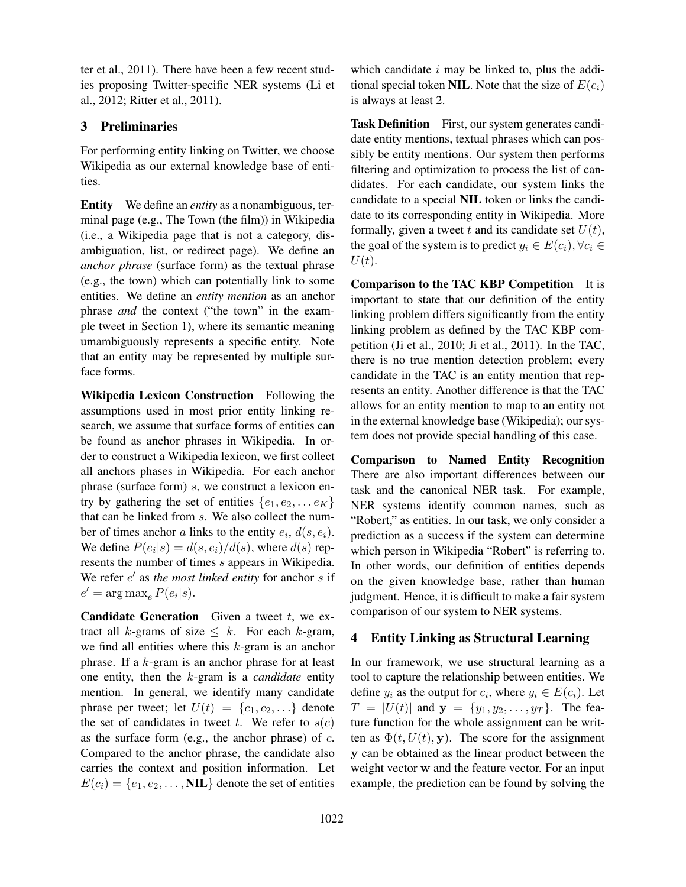ter et al., 2011). There have been a few recent studies proposing Twitter-specific NER systems (Li et al., 2012; Ritter et al., 2011).

# 3 Preliminaries

For performing entity linking on Twitter, we choose Wikipedia as our external knowledge base of entities.

Entity We define an *entity* as a nonambiguous, terminal page (e.g., The Town (the film)) in Wikipedia (i.e., a Wikipedia page that is not a category, disambiguation, list, or redirect page). We define an *anchor phrase* (surface form) as the textual phrase (e.g., the town) which can potentially link to some entities. We define an *entity mention* as an anchor phrase *and* the context ("the town" in the example tweet in Section 1), where its semantic meaning umambiguously represents a specific entity. Note that an entity may be represented by multiple surface forms.

Wikipedia Lexicon Construction Following the assumptions used in most prior entity linking research, we assume that surface forms of entities can be found as anchor phrases in Wikipedia. In order to construct a Wikipedia lexicon, we first collect all anchors phases in Wikipedia. For each anchor phrase (surface form) s, we construct a lexicon entry by gathering the set of entities  $\{e_1, e_2, \ldots e_K\}$ that can be linked from s. We also collect the number of times anchor a links to the entity  $e_i$ ,  $d(s, e_i)$ . We define  $P(e_i|s) = d(s, e_i)/d(s)$ , where  $d(s)$  represents the number of times s appears in Wikipedia. We refer e' as the most linked entity for anchor s if  $e' = \arg \max_{e} P(e_i|s).$ 

**Candidate Generation** Given a tweet  $t$ , we extract all k-grams of size  $\leq k$ . For each k-gram, we find all entities where this  $k$ -gram is an anchor phrase. If a k-gram is an anchor phrase for at least one entity, then the k-gram is a *candidate* entity mention. In general, we identify many candidate phrase per tweet; let  $U(t) = \{c_1, c_2, \ldots\}$  denote the set of candidates in tweet t. We refer to  $s(c)$ as the surface form (e.g., the anchor phrase) of  $c$ . Compared to the anchor phrase, the candidate also carries the context and position information. Let  $E(c_i) = \{e_1, e_2, \ldots, \textbf{NIL}\}\$  denote the set of entities

which candidate  $i$  may be linked to, plus the additional special token NIL. Note that the size of  $E(c_i)$ is always at least 2.

Task Definition First, our system generates candidate entity mentions, textual phrases which can possibly be entity mentions. Our system then performs filtering and optimization to process the list of candidates. For each candidate, our system links the candidate to a special NIL token or links the candidate to its corresponding entity in Wikipedia. More formally, given a tweet t and its candidate set  $U(t)$ , the goal of the system is to predict  $y_i \in E(c_i)$ ,  $\forall c_i \in$  $U(t)$ .

Comparison to the TAC KBP Competition It is important to state that our definition of the entity linking problem differs significantly from the entity linking problem as defined by the TAC KBP competition (Ji et al., 2010; Ji et al., 2011). In the TAC, there is no true mention detection problem; every candidate in the TAC is an entity mention that represents an entity. Another difference is that the TAC allows for an entity mention to map to an entity not in the external knowledge base (Wikipedia); our system does not provide special handling of this case.

Comparison to Named Entity Recognition There are also important differences between our task and the canonical NER task. For example, NER systems identify common names, such as "Robert," as entities. In our task, we only consider a prediction as a success if the system can determine which person in Wikipedia "Robert" is referring to. In other words, our definition of entities depends on the given knowledge base, rather than human judgment. Hence, it is difficult to make a fair system comparison of our system to NER systems.

# 4 Entity Linking as Structural Learning

In our framework, we use structural learning as a tool to capture the relationship between entities. We define  $y_i$  as the output for  $c_i$ , where  $y_i \in E(c_i)$ . Let  $T = |U(t)|$  and  $y = \{y_1, y_2, \dots, y_T\}$ . The feature function for the whole assignment can be written as  $\Phi(t, U(t), y)$ . The score for the assignment y can be obtained as the linear product between the weight vector w and the feature vector. For an input example, the prediction can be found by solving the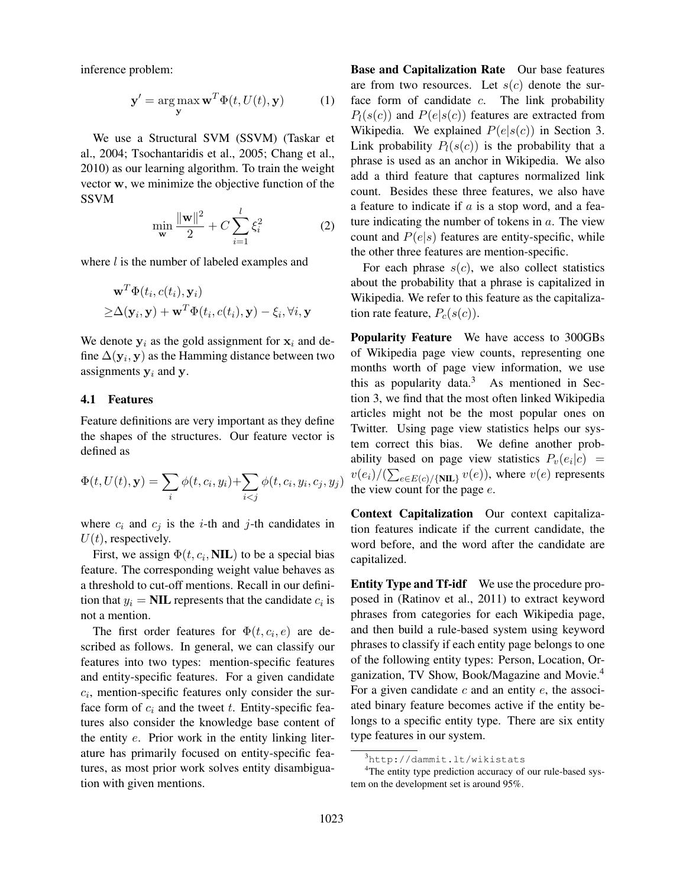inference problem:

$$
\mathbf{y}' = \arg\max_{\mathbf{y}} \mathbf{w}^T \Phi(t, U(t), \mathbf{y})
$$
 (1)

We use a Structural SVM (SSVM) (Taskar et al., 2004; Tsochantaridis et al., 2005; Chang et al., 2010) as our learning algorithm. To train the weight vector w, we minimize the objective function of the SSVM

$$
\min_{\mathbf{w}} \frac{\|\mathbf{w}\|^2}{2} + C \sum_{i=1}^{l} \xi_i^2
$$
 (2)

where  $l$  is the number of labeled examples and

$$
\mathbf{w}^T \Phi(t_i, c(t_i), \mathbf{y}_i)
$$
  
\n
$$
\geq \Delta(\mathbf{y}_i, \mathbf{y}) + \mathbf{w}^T \Phi(t_i, c(t_i), \mathbf{y}) - \xi_i, \forall i, \mathbf{y}
$$

We denote  $y_i$  as the gold assignment for  $x_i$  and define  $\Delta(\mathbf{y}_i, \mathbf{y})$  as the Hamming distance between two assignments  $y_i$  and y.

### 4.1 Features

Feature definitions are very important as they define the shapes of the structures. Our feature vector is defined as

$$
\Phi(t, U(t), \mathbf{y}) = \sum_{i} \phi(t, c_i, y_i) + \sum_{i < j} \phi(t, c_i, y_i, c_j, y_j)
$$

where  $c_i$  and  $c_j$  is the *i*-th and *j*-th candidates in  $U(t)$ , respectively.

First, we assign  $\Phi(t, c_i, \textbf{NIL})$  to be a special bias feature. The corresponding weight value behaves as a threshold to cut-off mentions. Recall in our definition that  $y_i = \textbf{NIL}$  represents that the candidate  $c_i$  is not a mention.

The first order features for  $\Phi(t, c_i, e)$  are described as follows. In general, we can classify our features into two types: mention-specific features and entity-specific features. For a given candidate  $c_i$ , mention-specific features only consider the surface form of  $c_i$  and the tweet t. Entity-specific features also consider the knowledge base content of the entity e. Prior work in the entity linking literature has primarily focused on entity-specific features, as most prior work solves entity disambiguation with given mentions.

Base and Capitalization Rate Our base features are from two resources. Let  $s(c)$  denote the surface form of candidate  $c$ . The link probability  $P_l(s(c))$  and  $P(e|s(c))$  features are extracted from Wikipedia. We explained  $P(e|s(c))$  in Section 3. Link probability  $P_l(s(c))$  is the probability that a phrase is used as an anchor in Wikipedia. We also add a third feature that captures normalized link count. Besides these three features, we also have a feature to indicate if  $a$  is a stop word, and a feature indicating the number of tokens in  $a$ . The view count and  $P(e|s)$  features are entity-specific, while the other three features are mention-specific.

For each phrase  $s(c)$ , we also collect statistics about the probability that a phrase is capitalized in Wikipedia. We refer to this feature as the capitalization rate feature,  $P_c(s(c))$ .

Popularity Feature We have access to 300GBs of Wikipedia page view counts, representing one months worth of page view information, we use this as popularity data. $3$  As mentioned in Section 3, we find that the most often linked Wikipedia articles might not be the most popular ones on Twitter. Using page view statistics helps our system correct this bias. We define another probability based on page view statistics  $P_v(e_i|c) =$  $v(e_i)/(\sum_{e \in E(c)/\{\text{NIL}\}} v(e))$ , where  $v(e)$  represents the view count for the page  $e$ .

Context Capitalization Our context capitalization features indicate if the current candidate, the word before, and the word after the candidate are capitalized.

Entity Type and Tf-idf We use the procedure proposed in (Ratinov et al., 2011) to extract keyword phrases from categories for each Wikipedia page, and then build a rule-based system using keyword phrases to classify if each entity page belongs to one of the following entity types: Person, Location, Organization, TV Show, Book/Magazine and Movie.<sup>4</sup> For a given candidate  $c$  and an entity  $e$ , the associated binary feature becomes active if the entity belongs to a specific entity type. There are six entity type features in our system.

<sup>3</sup>http://dammit.lt/wikistats

<sup>&</sup>lt;sup>4</sup>The entity type prediction accuracy of our rule-based system on the development set is around 95%.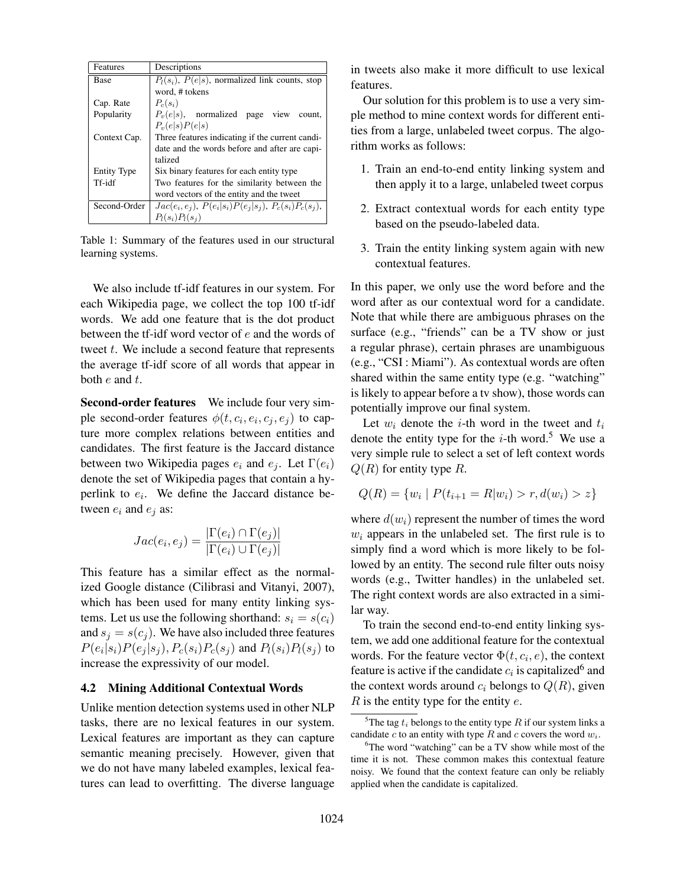| Features           | Descriptions                                             |  |  |  |  |
|--------------------|----------------------------------------------------------|--|--|--|--|
| Base               | $P_l(s_i)$ , $P(e s)$ , normalized link counts, stop     |  |  |  |  |
|                    | word, # tokens                                           |  |  |  |  |
| Cap. Rate          | $P_c(s_i)$                                               |  |  |  |  |
| Popularity         | $P_v(e s)$ , normalized page view count,                 |  |  |  |  |
|                    | $P_v(e s)P(e s)$                                         |  |  |  |  |
| Context Cap.       | Three features indicating if the current candi-          |  |  |  |  |
|                    | date and the words before and after are capi-            |  |  |  |  |
|                    | talized                                                  |  |  |  |  |
| <b>Entity Type</b> | Six binary features for each entity type                 |  |  |  |  |
| Tf-idf             | Two features for the similarity between the              |  |  |  |  |
|                    | word vectors of the entity and the tweet                 |  |  |  |  |
| Second-Order       | $Jac(e_i, e_j), P(e_i s_i)P(e_j s_j), P_c(s_i)P_c(s_i),$ |  |  |  |  |
|                    | $P_l(s_i)P_l(s_i)$                                       |  |  |  |  |

Table 1: Summary of the features used in our structural learning systems.

We also include tf-idf features in our system. For each Wikipedia page, we collect the top 100 tf-idf words. We add one feature that is the dot product between the tf-idf word vector of e and the words of tweet  $t$ . We include a second feature that represents the average tf-idf score of all words that appear in both  $e$  and  $t$ .

Second-order features We include four very simple second-order features  $\phi(t, c_i, e_i, c_j, e_j)$  to capture more complex relations between entities and candidates. The first feature is the Jaccard distance between two Wikipedia pages  $e_i$  and  $e_j$ . Let  $\Gamma(e_i)$ denote the set of Wikipedia pages that contain a hyperlink to  $e_i$ . We define the Jaccard distance between  $e_i$  and  $e_j$  as:

$$
Jac(e_i, e_j) = \frac{|\Gamma(e_i) \cap \Gamma(e_j)|}{|\Gamma(e_i) \cup \Gamma(e_j)|}
$$

This feature has a similar effect as the normalized Google distance (Cilibrasi and Vitanyi, 2007), which has been used for many entity linking systems. Let us use the following shorthand:  $s_i = s(c_i)$ and  $s_i = s(c_i)$ . We have also included three features  $P(e_i|s_i)P(e_j|s_j), P_c(s_i)P_c(s_j)$  and  $P_l(s_i)P_l(s_j)$  to increase the expressivity of our model.

#### 4.2 Mining Additional Contextual Words

Unlike mention detection systems used in other NLP tasks, there are no lexical features in our system. Lexical features are important as they can capture semantic meaning precisely. However, given that we do not have many labeled examples, lexical features can lead to overfitting. The diverse language

in tweets also make it more difficult to use lexical features.

Our solution for this problem is to use a very simple method to mine context words for different entities from a large, unlabeled tweet corpus. The algorithm works as follows:

- 1. Train an end-to-end entity linking system and then apply it to a large, unlabeled tweet corpus
- 2. Extract contextual words for each entity type based on the pseudo-labeled data.
- 3. Train the entity linking system again with new contextual features.

In this paper, we only use the word before and the word after as our contextual word for a candidate. Note that while there are ambiguous phrases on the surface (e.g., "friends" can be a TV show or just a regular phrase), certain phrases are unambiguous (e.g., "CSI : Miami"). As contextual words are often shared within the same entity type (e.g. "watching" is likely to appear before a tv show), those words can potentially improve our final system.

Let  $w_i$  denote the *i*-th word in the tweet and  $t_i$ denote the entity type for the  $i$ -th word.<sup>5</sup> We use a very simple rule to select a set of left context words  $Q(R)$  for entity type R.

$$
Q(R) = \{w_i \mid P(t_{i+1} = R | w_i) > r, d(w_i) > z\}
$$

where  $d(w_i)$  represent the number of times the word  $w_i$  appears in the unlabeled set. The first rule is to simply find a word which is more likely to be followed by an entity. The second rule filter outs noisy words (e.g., Twitter handles) in the unlabeled set. The right context words are also extracted in a similar way.

To train the second end-to-end entity linking system, we add one additional feature for the contextual words. For the feature vector  $\Phi(t, c_i, e)$ , the context feature is active if the candidate  $c_i$  is capitalized  $6$  and the context words around  $c_i$  belongs to  $Q(R)$ , given  $R$  is the entity type for the entity  $e$ .

<sup>&</sup>lt;sup>5</sup>The tag  $t_i$  belongs to the entity type R if our system links a candidate c to an entity with type R and c covers the word  $w_i$ .

<sup>&</sup>lt;sup>6</sup>The word "watching" can be a TV show while most of the time it is not. These common makes this contextual feature noisy. We found that the context feature can only be reliably applied when the candidate is capitalized.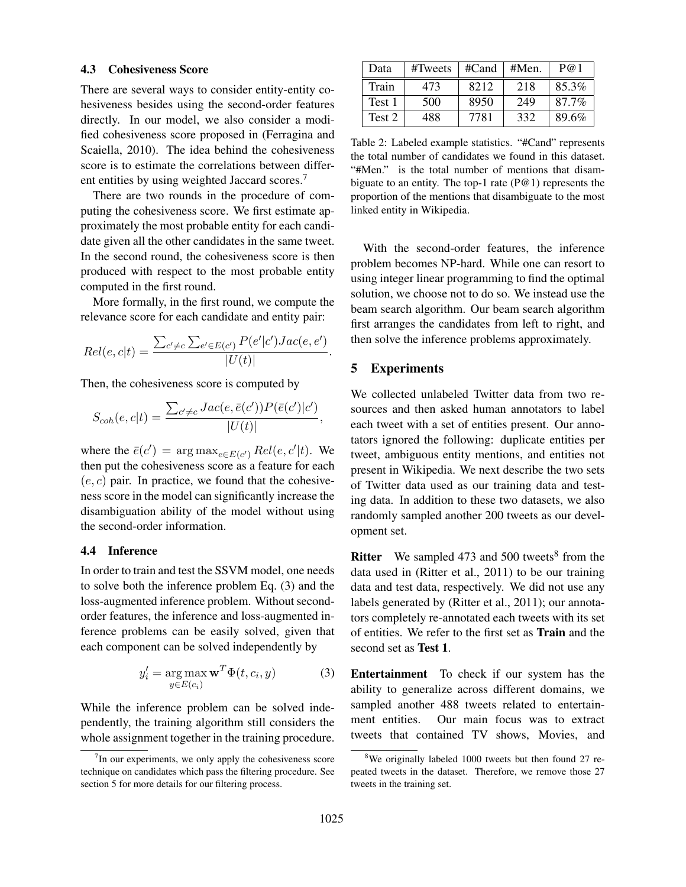#### 4.3 Cohesiveness Score

There are several ways to consider entity-entity cohesiveness besides using the second-order features directly. In our model, we also consider a modified cohesiveness score proposed in (Ferragina and Scaiella, 2010). The idea behind the cohesiveness score is to estimate the correlations between different entities by using weighted Jaccard scores.<sup>7</sup>

There are two rounds in the procedure of computing the cohesiveness score. We first estimate approximately the most probable entity for each candidate given all the other candidates in the same tweet. In the second round, the cohesiveness score is then produced with respect to the most probable entity computed in the first round.

More formally, in the first round, we compute the relevance score for each candidate and entity pair:

$$
Rel(e, c|t) = \frac{\sum_{c' \neq c} \sum_{e' \in E(c')} P(e'|c')Jac(e, e')}{|U(t)|}.
$$

Then, the cohesiveness score is computed by

$$
S_{coh}(e, c|t) = \frac{\sum_{c' \neq c} Jac(e, \bar{e}(c')) P(\bar{e}(c')|c')}{|U(t)|},
$$

where the  $\bar{e}(c') = \arg \max_{e \in E(c')} Rel(e, c'|t)$ . We then put the cohesiveness score as a feature for each  $(e, c)$  pair. In practice, we found that the cohesiveness score in the model can significantly increase the disambiguation ability of the model without using the second-order information.

### 4.4 Inference

In order to train and test the SSVM model, one needs to solve both the inference problem Eq. (3) and the loss-augmented inference problem. Without secondorder features, the inference and loss-augmented inference problems can be easily solved, given that each component can be solved independently by

$$
y_i' = \underset{y \in E(c_i)}{\arg \max} \mathbf{w}^T \Phi(t, c_i, y) \tag{3}
$$

While the inference problem can be solved independently, the training algorithm still considers the whole assignment together in the training procedure.

| Data   | #Tweets | $#C$ and | #Men. | P@1   |
|--------|---------|----------|-------|-------|
| Train  | 473     | 8212     | 218   | 85.3% |
| Test 1 | 500     | 8950     | 249   | 87.7% |
| Test 2 | 488     | 7781     | 332   | 89.6% |

Table 2: Labeled example statistics. "#Cand" represents the total number of candidates we found in this dataset. "#Men." is the total number of mentions that disambiguate to an entity. The top-1 rate  $(P@1)$  represents the proportion of the mentions that disambiguate to the most linked entity in Wikipedia.

With the second-order features, the inference problem becomes NP-hard. While one can resort to using integer linear programming to find the optimal solution, we choose not to do so. We instead use the beam search algorithm. Our beam search algorithm first arranges the candidates from left to right, and then solve the inference problems approximately.

### 5 Experiments

We collected unlabeled Twitter data from two resources and then asked human annotators to label each tweet with a set of entities present. Our annotators ignored the following: duplicate entities per tweet, ambiguous entity mentions, and entities not present in Wikipedia. We next describe the two sets of Twitter data used as our training data and testing data. In addition to these two datasets, we also randomly sampled another 200 tweets as our development set.

**Ritter** We sampled 473 and 500 tweets<sup>8</sup> from the data used in (Ritter et al., 2011) to be our training data and test data, respectively. We did not use any labels generated by (Ritter et al., 2011); our annotators completely re-annotated each tweets with its set of entities. We refer to the first set as Train and the second set as Test 1.

Entertainment To check if our system has the ability to generalize across different domains, we sampled another 488 tweets related to entertainment entities. Our main focus was to extract tweets that contained TV shows, Movies, and

 $7$ In our experiments, we only apply the cohesiveness score technique on candidates which pass the filtering procedure. See section 5 for more details for our filtering process.

<sup>8</sup>We originally labeled 1000 tweets but then found 27 repeated tweets in the dataset. Therefore, we remove those 27 tweets in the training set.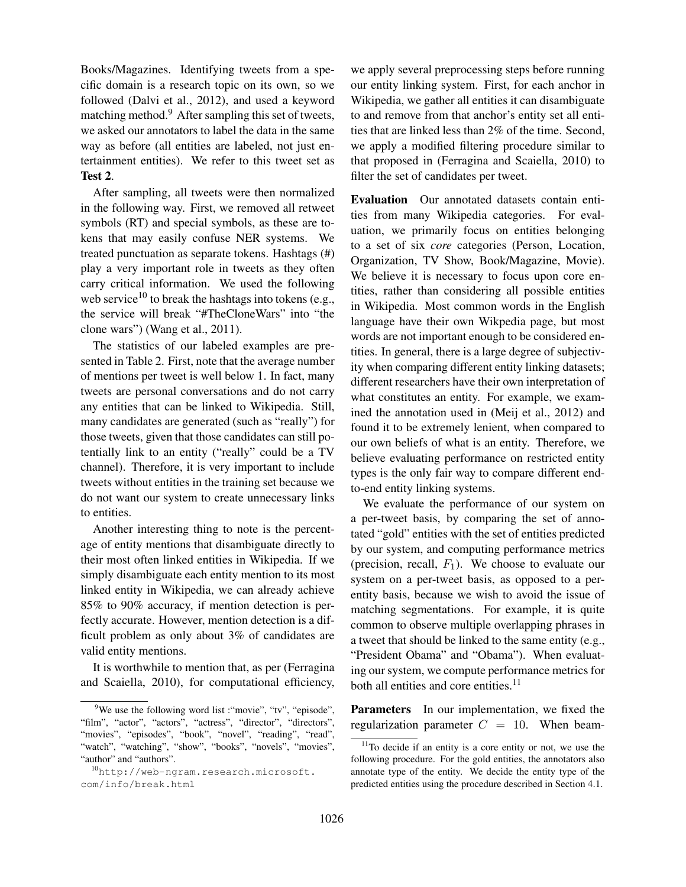Books/Magazines. Identifying tweets from a specific domain is a research topic on its own, so we followed (Dalvi et al., 2012), and used a keyword matching method.<sup>9</sup> After sampling this set of tweets, we asked our annotators to label the data in the same way as before (all entities are labeled, not just entertainment entities). We refer to this tweet set as Test 2.

After sampling, all tweets were then normalized in the following way. First, we removed all retweet symbols (RT) and special symbols, as these are tokens that may easily confuse NER systems. We treated punctuation as separate tokens. Hashtags (#) play a very important role in tweets as they often carry critical information. We used the following web service<sup>10</sup> to break the hashtags into tokens (e.g., the service will break "#TheCloneWars" into "the clone wars") (Wang et al., 2011).

The statistics of our labeled examples are presented in Table 2. First, note that the average number of mentions per tweet is well below 1. In fact, many tweets are personal conversations and do not carry any entities that can be linked to Wikipedia. Still, many candidates are generated (such as "really") for those tweets, given that those candidates can still potentially link to an entity ("really" could be a TV channel). Therefore, it is very important to include tweets without entities in the training set because we do not want our system to create unnecessary links to entities.

Another interesting thing to note is the percentage of entity mentions that disambiguate directly to their most often linked entities in Wikipedia. If we simply disambiguate each entity mention to its most linked entity in Wikipedia, we can already achieve 85% to 90% accuracy, if mention detection is perfectly accurate. However, mention detection is a difficult problem as only about 3% of candidates are valid entity mentions.

It is worthwhile to mention that, as per (Ferragina and Scaiella, 2010), for computational efficiency, we apply several preprocessing steps before running our entity linking system. First, for each anchor in Wikipedia, we gather all entities it can disambiguate to and remove from that anchor's entity set all entities that are linked less than 2% of the time. Second, we apply a modified filtering procedure similar to that proposed in (Ferragina and Scaiella, 2010) to filter the set of candidates per tweet.

Evaluation Our annotated datasets contain entities from many Wikipedia categories. For evaluation, we primarily focus on entities belonging to a set of six *core* categories (Person, Location, Organization, TV Show, Book/Magazine, Movie). We believe it is necessary to focus upon core entities, rather than considering all possible entities in Wikipedia. Most common words in the English language have their own Wikpedia page, but most words are not important enough to be considered entities. In general, there is a large degree of subjectivity when comparing different entity linking datasets; different researchers have their own interpretation of what constitutes an entity. For example, we examined the annotation used in (Meij et al., 2012) and found it to be extremely lenient, when compared to our own beliefs of what is an entity. Therefore, we believe evaluating performance on restricted entity types is the only fair way to compare different endto-end entity linking systems.

We evaluate the performance of our system on a per-tweet basis, by comparing the set of annotated "gold" entities with the set of entities predicted by our system, and computing performance metrics (precision, recall,  $F_1$ ). We choose to evaluate our system on a per-tweet basis, as opposed to a perentity basis, because we wish to avoid the issue of matching segmentations. For example, it is quite common to observe multiple overlapping phrases in a tweet that should be linked to the same entity (e.g., "President Obama" and "Obama"). When evaluating our system, we compute performance metrics for both all entities and core entities.<sup>11</sup>

Parameters In our implementation, we fixed the regularization parameter  $C = 10$ . When beam-

<sup>&</sup>lt;sup>9</sup>We use the following word list : "movie", "tv", "episode", "film", "actor", "actors", "actress", "director", "directors", "movies", "episodes", "book", "novel", "reading", "read", "watch", "watching", "show", "books", "novels", "movies", "author" and "authors".

<sup>10</sup>http://web-ngram.research.microsoft. com/info/break.html

 $11$ To decide if an entity is a core entity or not, we use the following procedure. For the gold entities, the annotators also annotate type of the entity. We decide the entity type of the predicted entities using the procedure described in Section 4.1.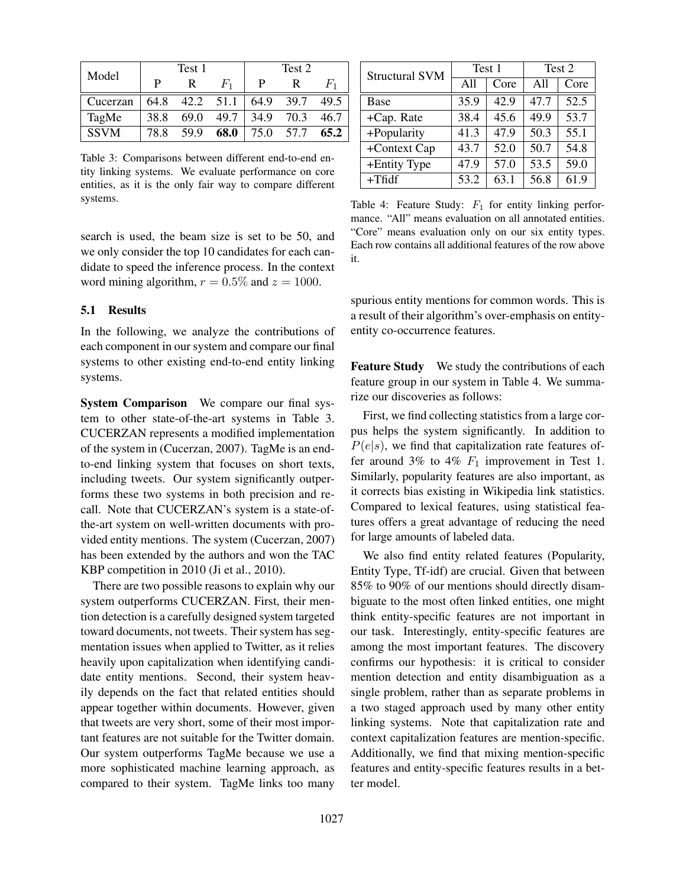| Model       | Test 1 |           |       | Test 2 |           |       |
|-------------|--------|-----------|-------|--------|-----------|-------|
|             | P      |           | $F_1$ | P      | R         | $F_1$ |
| Cucerzan    | 64.8   | 42.2 51.1 |       | 64.9   | 39.7      | 49.5  |
| TagMe       | 38.8   | 69.0      | 49.7  | 34.9   | 70.3      | 46.7  |
| <b>SSVM</b> | 78.8   | 59.9      | 68.0  |        | 75.0 57.7 | 65.2  |

Table 3: Comparisons between different end-to-end entity linking systems. We evaluate performance on core entities, as it is the only fair way to compare different systems.

search is used, the beam size is set to be 50, and we only consider the top 10 candidates for each candidate to speed the inference process. In the context word mining algorithm,  $r = 0.5\%$  and  $z = 1000$ .

#### 5.1 Results

In the following, we analyze the contributions of each component in our system and compare our final systems to other existing end-to-end entity linking systems.

System Comparison We compare our final system to other state-of-the-art systems in Table 3. CUCERZAN represents a modified implementation of the system in (Cucerzan, 2007). TagMe is an endto-end linking system that focuses on short texts, including tweets. Our system significantly outperforms these two systems in both precision and recall. Note that CUCERZAN's system is a state-ofthe-art system on well-written documents with provided entity mentions. The system (Cucerzan, 2007) has been extended by the authors and won the TAC KBP competition in 2010 (Ji et al., 2010).

There are two possible reasons to explain why our system outperforms CUCERZAN. First, their mention detection is a carefully designed system targeted toward documents, not tweets. Their system has segmentation issues when applied to Twitter, as it relies heavily upon capitalization when identifying candidate entity mentions. Second, their system heavily depends on the fact that related entities should appear together within documents. However, given that tweets are very short, some of their most important features are not suitable for the Twitter domain. Our system outperforms TagMe because we use a more sophisticated machine learning approach, as compared to their system. TagMe links too many

| <b>Structural SVM</b> |      | Test 1 | Test 2 |      |  |
|-----------------------|------|--------|--------|------|--|
|                       | A11  | Core   | A11    | Core |  |
| <b>Base</b>           | 35.9 | 42.9   | 47.7   | 52.5 |  |
| +Cap. Rate            | 38.4 | 45.6   | 49.9   | 53.7 |  |
| +Popularity           | 41.3 | 47.9   | 50.3   | 55.1 |  |
| +Context Cap          | 43.7 | 52.0   | 50.7   | 54.8 |  |
| +Entity Type          | 47.9 | 57.0   | 53.5   | 59.0 |  |
| $+Tf1df$              | 53.2 | 63.1   | 56.8   | 61.9 |  |

Table 4: Feature Study:  $F_1$  for entity linking performance. "All" means evaluation on all annotated entities. "Core" means evaluation only on our six entity types. Each row contains all additional features of the row above it.

spurious entity mentions for common words. This is a result of their algorithm's over-emphasis on entityentity co-occurrence features.

Feature Study We study the contributions of each feature group in our system in Table 4. We summarize our discoveries as follows:

First, we find collecting statistics from a large corpus helps the system significantly. In addition to  $P(e|s)$ , we find that capitalization rate features offer around 3% to 4%  $F_1$  improvement in Test 1. Similarly, popularity features are also important, as it corrects bias existing in Wikipedia link statistics. Compared to lexical features, using statistical features offers a great advantage of reducing the need for large amounts of labeled data.

We also find entity related features (Popularity, Entity Type, Tf-idf) are crucial. Given that between 85% to 90% of our mentions should directly disambiguate to the most often linked entities, one might think entity-specific features are not important in our task. Interestingly, entity-specific features are among the most important features. The discovery confirms our hypothesis: it is critical to consider mention detection and entity disambiguation as a single problem, rather than as separate problems in a two staged approach used by many other entity linking systems. Note that capitalization rate and context capitalization features are mention-specific. Additionally, we find that mixing mention-specific features and entity-specific features results in a better model.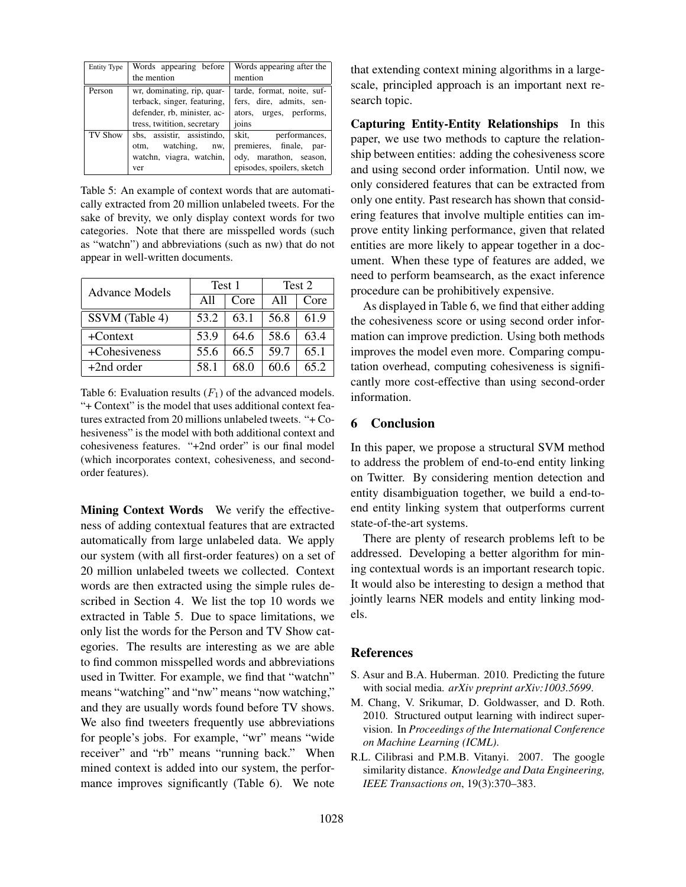| Entity Type | Words appearing before      | Words appearing after the  |  |
|-------------|-----------------------------|----------------------------|--|
|             | the mention                 | mention                    |  |
| Person      | wr, dominating, rip, quar-  | tarde, format, noite, suf- |  |
|             | terback, singer, featuring, | fers, dire, admits, sen-   |  |
|             | defender, rb, minister, ac- | ators, urges, performs,    |  |
|             | tress, twitition, secretary | joins                      |  |
| TV Show     | sbs, assistir, assistindo,  | skit,<br>performances,     |  |
|             | otm, watching, nw,          | premieres, finale, par-    |  |
|             | watchn, viagra, watchin,    | ody, marathon, season,     |  |
|             | ver                         | episodes, spoilers, sketch |  |

Table 5: An example of context words that are automatically extracted from 20 million unlabeled tweets. For the sake of brevity, we only display context words for two categories. Note that there are misspelled words (such as "watchn") and abbreviations (such as nw) that do not appear in well-written documents.

| Advance Models | Test 1 |      | Test 2 |      |
|----------------|--------|------|--------|------|
|                | A11    | Core | A11    | Core |
| SSVM (Table 4) | 53.2   | 63.1 | 56.8   | 61.9 |
| $+Context$     | 53.9   | 64.6 | 58.6   | 634  |
| +Cohesiveness  | 55.6   | 66.5 | 59.7   | 65.1 |
| $+2nd$ order   | 58.1   | 68 O | 60.6   | 65.2 |

Table 6: Evaluation results  $(F_1)$  of the advanced models. "+ Context" is the model that uses additional context features extracted from 20 millions unlabeled tweets. "+ Cohesiveness" is the model with both additional context and cohesiveness features. "+2nd order" is our final model (which incorporates context, cohesiveness, and secondorder features).

Mining Context Words We verify the effectiveness of adding contextual features that are extracted automatically from large unlabeled data. We apply our system (with all first-order features) on a set of 20 million unlabeled tweets we collected. Context words are then extracted using the simple rules described in Section 4. We list the top 10 words we extracted in Table 5. Due to space limitations, we only list the words for the Person and TV Show categories. The results are interesting as we are able to find common misspelled words and abbreviations used in Twitter. For example, we find that "watchn" means "watching" and "nw" means "now watching," and they are usually words found before TV shows. We also find tweeters frequently use abbreviations for people's jobs. For example, "wr" means "wide receiver" and "rb" means "running back." When mined context is added into our system, the performance improves significantly (Table 6). We note that extending context mining algorithms in a largescale, principled approach is an important next research topic.

Capturing Entity-Entity Relationships In this paper, we use two methods to capture the relationship between entities: adding the cohesiveness score and using second order information. Until now, we only considered features that can be extracted from only one entity. Past research has shown that considering features that involve multiple entities can improve entity linking performance, given that related entities are more likely to appear together in a document. When these type of features are added, we need to perform beamsearch, as the exact inference procedure can be prohibitively expensive.

As displayed in Table 6, we find that either adding the cohesiveness score or using second order information can improve prediction. Using both methods improves the model even more. Comparing computation overhead, computing cohesiveness is significantly more cost-effective than using second-order information.

### 6 Conclusion

In this paper, we propose a structural SVM method to address the problem of end-to-end entity linking on Twitter. By considering mention detection and entity disambiguation together, we build a end-toend entity linking system that outperforms current state-of-the-art systems.

There are plenty of research problems left to be addressed. Developing a better algorithm for mining contextual words is an important research topic. It would also be interesting to design a method that jointly learns NER models and entity linking models.

### References

- S. Asur and B.A. Huberman. 2010. Predicting the future with social media. *arXiv preprint arXiv:1003.5699*.
- M. Chang, V. Srikumar, D. Goldwasser, and D. Roth. 2010. Structured output learning with indirect supervision. In *Proceedings of the International Conference on Machine Learning (ICML)*.
- R.L. Cilibrasi and P.M.B. Vitanyi. 2007. The google similarity distance. *Knowledge and Data Engineering, IEEE Transactions on*, 19(3):370–383.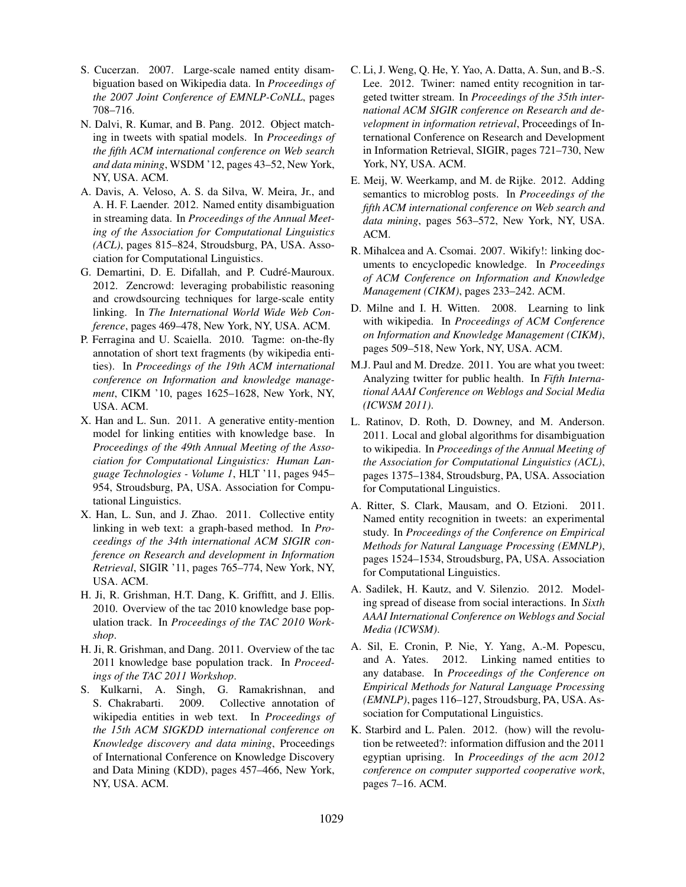- S. Cucerzan. 2007. Large-scale named entity disambiguation based on Wikipedia data. In *Proceedings of the 2007 Joint Conference of EMNLP-CoNLL*, pages 708–716.
- N. Dalvi, R. Kumar, and B. Pang. 2012. Object matching in tweets with spatial models. In *Proceedings of the fifth ACM international conference on Web search and data mining*, WSDM '12, pages 43–52, New York, NY, USA. ACM.
- A. Davis, A. Veloso, A. S. da Silva, W. Meira, Jr., and A. H. F. Laender. 2012. Named entity disambiguation in streaming data. In *Proceedings of the Annual Meeting of the Association for Computational Linguistics (ACL)*, pages 815–824, Stroudsburg, PA, USA. Association for Computational Linguistics.
- G. Demartini, D. E. Difallah, and P. Cudré-Mauroux. 2012. Zencrowd: leveraging probabilistic reasoning and crowdsourcing techniques for large-scale entity linking. In *The International World Wide Web Conference*, pages 469–478, New York, NY, USA. ACM.
- P. Ferragina and U. Scaiella. 2010. Tagme: on-the-fly annotation of short text fragments (by wikipedia entities). In *Proceedings of the 19th ACM international conference on Information and knowledge management*, CIKM '10, pages 1625–1628, New York, NY, USA. ACM.
- X. Han and L. Sun. 2011. A generative entity-mention model for linking entities with knowledge base. In *Proceedings of the 49th Annual Meeting of the Association for Computational Linguistics: Human Language Technologies - Volume 1*, HLT '11, pages 945– 954, Stroudsburg, PA, USA. Association for Computational Linguistics.
- X. Han, L. Sun, and J. Zhao. 2011. Collective entity linking in web text: a graph-based method. In *Proceedings of the 34th international ACM SIGIR conference on Research and development in Information Retrieval*, SIGIR '11, pages 765–774, New York, NY, USA. ACM.
- H. Ji, R. Grishman, H.T. Dang, K. Griffitt, and J. Ellis. 2010. Overview of the tac 2010 knowledge base population track. In *Proceedings of the TAC 2010 Workshop*.
- H. Ji, R. Grishman, and Dang. 2011. Overview of the tac 2011 knowledge base population track. In *Proceedings of the TAC 2011 Workshop*.
- S. Kulkarni, A. Singh, G. Ramakrishnan, and S. Chakrabarti. 2009. Collective annotation of wikipedia entities in web text. In *Proceedings of the 15th ACM SIGKDD international conference on Knowledge discovery and data mining*, Proceedings of International Conference on Knowledge Discovery and Data Mining (KDD), pages 457–466, New York, NY, USA. ACM.
- C. Li, J. Weng, Q. He, Y. Yao, A. Datta, A. Sun, and B.-S. Lee. 2012. Twiner: named entity recognition in targeted twitter stream. In *Proceedings of the 35th international ACM SIGIR conference on Research and development in information retrieval*, Proceedings of International Conference on Research and Development in Information Retrieval, SIGIR, pages 721–730, New York, NY, USA. ACM.
- E. Meij, W. Weerkamp, and M. de Rijke. 2012. Adding semantics to microblog posts. In *Proceedings of the fifth ACM international conference on Web search and data mining*, pages 563–572, New York, NY, USA. ACM.
- R. Mihalcea and A. Csomai. 2007. Wikify!: linking documents to encyclopedic knowledge. In *Proceedings of ACM Conference on Information and Knowledge Management (CIKM)*, pages 233–242. ACM.
- D. Milne and I. H. Witten. 2008. Learning to link with wikipedia. In *Proceedings of ACM Conference on Information and Knowledge Management (CIKM)*, pages 509–518, New York, NY, USA. ACM.
- M.J. Paul and M. Dredze. 2011. You are what you tweet: Analyzing twitter for public health. In *Fifth International AAAI Conference on Weblogs and Social Media (ICWSM 2011)*.
- L. Ratinov, D. Roth, D. Downey, and M. Anderson. 2011. Local and global algorithms for disambiguation to wikipedia. In *Proceedings of the Annual Meeting of the Association for Computational Linguistics (ACL)*, pages 1375–1384, Stroudsburg, PA, USA. Association for Computational Linguistics.
- A. Ritter, S. Clark, Mausam, and O. Etzioni. 2011. Named entity recognition in tweets: an experimental study. In *Proceedings of the Conference on Empirical Methods for Natural Language Processing (EMNLP)*, pages 1524–1534, Stroudsburg, PA, USA. Association for Computational Linguistics.
- A. Sadilek, H. Kautz, and V. Silenzio. 2012. Modeling spread of disease from social interactions. In *Sixth AAAI International Conference on Weblogs and Social Media (ICWSM)*.
- A. Sil, E. Cronin, P. Nie, Y. Yang, A.-M. Popescu, and A. Yates. 2012. Linking named entities to any database. In *Proceedings of the Conference on Empirical Methods for Natural Language Processing (EMNLP)*, pages 116–127, Stroudsburg, PA, USA. Association for Computational Linguistics.
- K. Starbird and L. Palen. 2012. (how) will the revolution be retweeted?: information diffusion and the 2011 egyptian uprising. In *Proceedings of the acm 2012 conference on computer supported cooperative work*, pages 7–16. ACM.